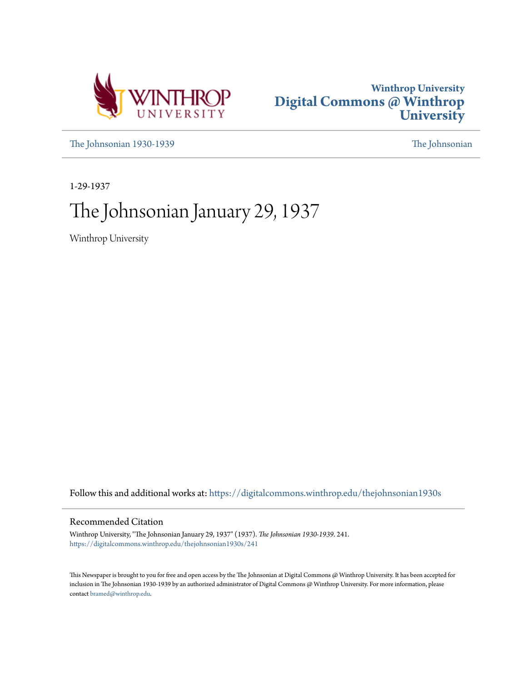



[The Johnsonian 1930-1939](https://digitalcommons.winthrop.edu/thejohnsonian1930s?utm_source=digitalcommons.winthrop.edu%2Fthejohnsonian1930s%2F241&utm_medium=PDF&utm_campaign=PDFCoverPages) [The Johnsonian](https://digitalcommons.winthrop.edu/thejohnsonian_newspaper?utm_source=digitalcommons.winthrop.edu%2Fthejohnsonian1930s%2F241&utm_medium=PDF&utm_campaign=PDFCoverPages)

1-29-1937

# The Johnsonian January 29, 1937

Winthrop University

Follow this and additional works at: [https://digitalcommons.winthrop.edu/thejohnsonian1930s](https://digitalcommons.winthrop.edu/thejohnsonian1930s?utm_source=digitalcommons.winthrop.edu%2Fthejohnsonian1930s%2F241&utm_medium=PDF&utm_campaign=PDFCoverPages)

### Recommended Citation

Winthrop University, "The Johnsonian January 29, 1937" (1937). *The Johnsonian 1930-1939*. 241. [https://digitalcommons.winthrop.edu/thejohnsonian1930s/241](https://digitalcommons.winthrop.edu/thejohnsonian1930s/241?utm_source=digitalcommons.winthrop.edu%2Fthejohnsonian1930s%2F241&utm_medium=PDF&utm_campaign=PDFCoverPages)

This Newspaper is brought to you for free and open access by the The Johnsonian at Digital Commons @ Winthrop University. It has been accepted for inclusion in The Johnsonian 1930-1939 by an authorized administrator of Digital Commons @ Winthrop University. For more information, please contact [bramed@winthrop.edu](mailto:bramed@winthrop.edu).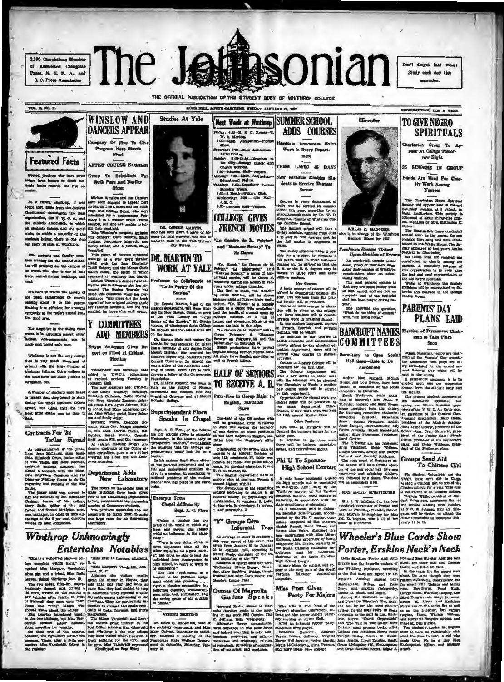2,100 Circulation; Member<br>of Associated Collegiate Press, N. S. P. A., and **8. C. Press Association** 



ROCK HILL, SOUTH CAROLINA, PRIDAY, SANTIAUX 90, 1987

SUBSCRIPTION, SLOP A YEAR



**VOL. 14, NO. 25** 

rs who have n ere been known to flunk stu<br>te broke records the fret se

In a recent' check-up, it we ot Association, the class

Covernment Association, the class<br>organization, the C W, O, A, and all students belong, and the social<br>all students belong, and the social<br>clust, to which a majority of the<br>students, a which a majority of the<br>students, the

New students and faculty members arriving for the second sense-<br>ter will probably see the campus at its worst. The view is one of hare<br>trees, rain-drenched buildings, and

It's hard to realise the gravity of<br>the flood catastrophe by mersiy<br>reading about it in the papers.<br>Nothing is so effective for arousing athy as the radio's app od area.

The amplifier in the dining room na to be affording general satis and heard with ease.

up is not the only colle that is very much concerned at prosent with the large number of n failures. Other colleges in the state have the same problem to

A number of students were hearmanie or seasons were neared<br>mark that they intend to study<br>ag the whole semester. Others was no time to

### Contracts For '38

Ta'ler Signed

As representatives of the junior<br>class, Jean McLaurin, class presional and the junior education<br>of The Tableto, and Room, Junior education<br>are particular includes and the particular particular presion of the<br>presion is con Department Adds

engraving and printing of the 1933<br>
Two rooms on the second floor of The Junior class was advised to Main Bullding have been given<br>
ally The Junior class was advised to Main Bullding have been given<br>
ally place, editor of

# **Winthrop Unknowingly Entertains Notables**



Miriam Winnier and her Daneers<br>on Narch Hardway and her Daneers<br>(a) March 1 as a substitute for Bride<br>(a) March 1 as a substitute for Bride<br>(a) Page and Beniley Distance of Bride<br>(a) and Replace Ally a sequely Autor Contr

DR. DONNIB MARTIN,<br>ho has been given a leave of ab<br>ence for next semester. She will desarch work in the Tale Univer

Name Hine, and a planist, knay in<br>
This group of dancers appeared the complexity at a New York the<br>star, recently at a New York theater, and the Monte Carlo control<br>  $\sim$  100 m and the Monte Carlo Carlo (17) and the Monte **DR. MARTIN TO** 

图

 $\dot{\alpha}$  alle Nine White; sedal, Mary John-Bon and Emily July; sedal, Mary John-Bon Edward, The watch, Elenaor Edward, The Taxis Carlo Controller, Nell Disconcerned State (Mary American Controller, Nell Reference, characte New Laboratory

"Unions a teacher has the<br>grap of the world in which she<br>lives and moves, she cannot<br>wield an influence in the class-

wind an infraement in the class-<br>wind an infraement in the class-<br>momentum and infraement than all the conducts requires the set of the<br>state in a structure of the structure of the structure of the limit<br>of the structure

**EXAMPLE AND STRAITS INCORDES INTO A CHANNEL AND THE CHAIN IN STRAIN CONDITIONS INTO A REAL PROPERTY ASSESSMENT AND A REAL PROPERTY AND A REAL PROPERTY AND THE VALUE AND THE VALUE AND THE VALUE AND THE VALUE AND THE VALUE** 

**SUMMER SCHOOL** Next Week at Winthrep **ADDS COURSES** Priday: 4:15-B. S. U. R.<br>W. A. Meeting.<br>7:30-Main Auditorium W. A. Meeting,<br>7:30-Malm Audito<br>Rhow,<br>Maturday: 8:00-Malm<br>Artist Course, Magginis Ansou Nitis Course.<br>Misi Course.<br>Banday: 1:00-11:38-Churches<br>Banday: 1:00-11:38-Churches<br>Course.<br>Darkes Service.<br>(2013-Churches Mail.<br>Missilvand Pedrum.<br>Monday: 1:00-Counting Watch.<br>Morning Watch.<br>Wolfgatter.<br>(2014-Kirches-Width ment orth—Writers' Club.<br>y: 4:30 — Clio Hall  $L R G$ .<br>nach Hall-Vespers. COLLEGE GIVES **FRENCH MOVIES** 

"Le Gendre de M. Potrier"<br>and "Madame Bar indame Bovary" To<br>Be Shown

FOR THE PROPERTY OF SCRIPTION CONTROL AND THE PROPERTY OF SCRIPTION CONTROL AND THE PROPERTY OF SCRIPTION CONTROL AND THE PROPERTY OF SCRIPTION CONTROL AND THE PROPERTY OF SCRIPTION OF SCRIPTION CONTROL AND THE PROPERTY OF

"Y" Groups Give<br>Informal Teas

many areas of about 50 students and the seam test of a students for a seam test of a student in the seam of the seam of the seam of the seam of the seam of the seam of the seam of the seam of the seam of the seam of the se



Director

**Freshmen Become Violent**<br>Upon Mention of Exa

**High School Contest**<br>  $\frac{1}{100}$ <br>
In that home comomes contest<br>  $\frac{1}{100}$ <br>
In the halo have been been been detected<br>  $\frac{1}{100}$ <br>
In the halo have the sendered and the conducted<br>  $\frac{1}{100}$  (Contex on a<br>  $\frac{1}{100}$ 



pear At College Tomor

35 SINGERS IN GROUP

Funds Are Used For Charity Work Amo

Negroes

The Charleston Negro Spiritual<br>Society will appear here in concert<br>Saturday evening, at 8 o'clock, in<br>Main Auditorium. This society is<br>composed of about thirty-five sing-<br>stranged by Mrs. Katherine C.<br>Euleron

Fra managed by Mrs. Katasumo – Historical Archives in the north. On one and the measurement of the north of the same of the same of the same of the same of the same of the same of the same of the same of the same of the s

members was

### **PARENTS' DAY PLANS LAID**

BANCROFT NAMES Election of Permanent Chair man to Take Place Soon

and the mass are the boson will be the set of the set of the set of the set of the set of the set of the set of the set of the set of the set of the set of the set of the set of the set of the set of the set of the set of

## **Wheeler's Blue Cards Show** Porter, Erskine Neck'n Neck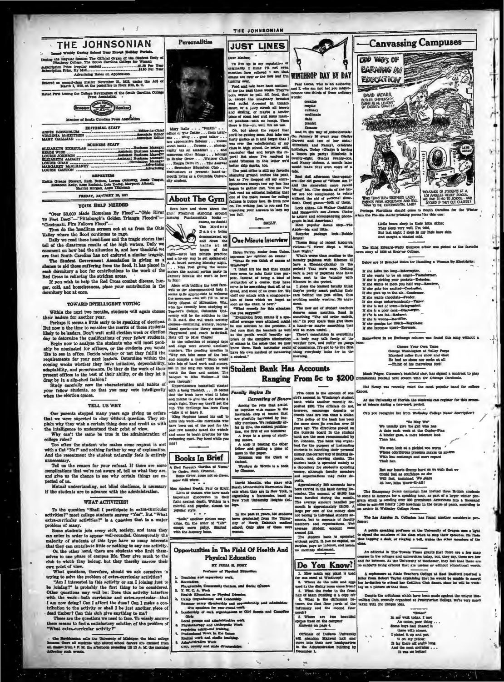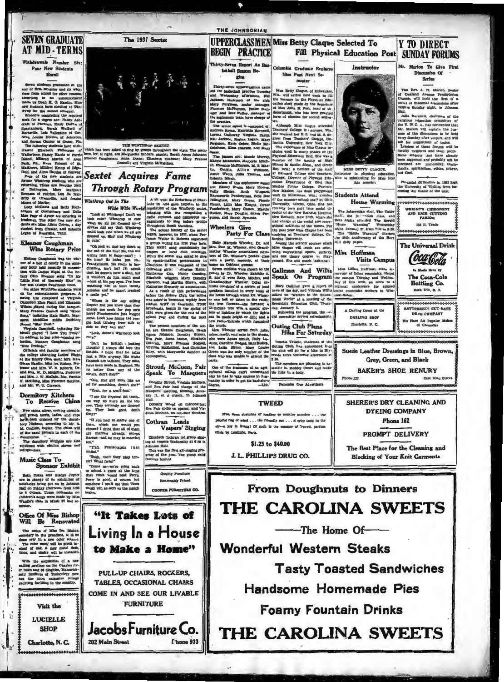### **SEVEN GRADITATE AT MID-TERMS**

Withdrawals Number Six: Four New Students

 $\begin{tabular}{l|c|c|c} \multicolumn{1}{l}{\textbf{Borel}} & \multicolumn{1}{l}{\textbf{Borel}} \\ \hline & \multicolumn{1}{l}{\textbf{Borel}} & \multicolumn{1}{l}{\textbf{Borel}} \\ \hline & \multicolumn{1}{l}{\textbf{Borel}} & \multicolumn{1}{l}{\textbf{Borel}} & \multicolumn{1}{l}{\textbf{Borel}} & \multicolumn{1}{l}{\textbf{Borel}} & \multicolumn{1}{l}{\textbf{Borel}} & \multicolumn{1}{l}{\textbf{Borel}} & \multicolumn{1}{l}{\textbf{Borel}} &$ 

an of Knoxville, Tenn

#### sanor Caughman<br>Wins Rotary Prize El.

Eleanor Camilman was the win-<br>near of a box of candra in the num-<br>near of a box of candra in the momentum in Length at the Regional state in<br>term in the Lands Hight at the Region in the box of the land of Regional<br>conside

gares Molemain Enter Dust, and Dustain Russell, initiating Russell<br>blogs (1984) and the base of London Completi, initiating the Solution<br>of Playes (7 London Completion), initiating the Solution Russell<br>complete base (2 Lon H. McClung, Miss Florence Sa

#### Dormitory Kitchens To Receive China

 $\overline{\xi}$ د ا

New china, ailway, cooking utensis, and guess beaution bowls, ladkes, and cups<br>beauty beam collector the dominibution of the domination of the domination<br> $\mathbf{M}$ . Carabana, boundary is the collector of the same<br>pattern i

dormitories.<br>The dormitory id?:bens are also<br>equipped with electric stown and<br>refrigerators.

#### Music Class To **Sponsor Exhibit**

Beth Dukes and Gladys Joyner<br>are in charge of an exhibition of notations behind the put on in Johnson<br>Rail on Priday afternoon from 4:30<br>to 6 order. These notebooks on<br>the 4:30 second and 4:30<br>wardlers can be widen by Mis

# Office Of Miss Bishop<br>Will Be Renovated

The ciffice of Miss Pra Bishop, previous previous persons over in a mew color scheme.<br>The color over in a mew color scheme.<br>The color media will be green in-<br>tend of cak. A new metal desk, and chairs will be installed.

With the acquisition of a new<br>saiing pavilion on the Charles riv-<br>er hasm and 36 dinghies, Massachu-<br>setts Institute of Toolucology now setts Institute of Toohreleyy now<br>has the most extensive college<br>yachting facilities in the country.



Charlotte, N.C.



The 1937 Sextet

THE WINTHROP SEXTET<br>which has been asked to sing by groups throughout the state. The ers, left to vight, are M

**Sextet Acquires Fame** Winthrop Out In The

The was reached to the most result of the control of the control of the chosen of the chosen of the chosen of the chosen of the chosen of the chosen of the chosen of the chosen of the chosen of the chosen of the chosen of

is cut<br>in the hold at that boy down at the red of the line if for the line<br> $\pi$  and the line of the line in the state<br> $\pi$ . In the state and the state in the state<br>in the state in the state of the state of the state of th

a came yet-<br>
map at the boy eelling<br>
Dopen's Did you know that they<br>
charge ten cents or pop corn<br>
some. Look her fung the post-<br>
ple look turning from aide to<br>
side so they can are."<br>
<br>
and the corner state of the post-<br>

"Look, doesn't Winthrop look

cure:<br>"Im't he British - looking<br>though? I always did love the<br>British. I hope that he talics<br>just a little anyway. His white<br>flannels are tallored. They must Hahnes are unneed any man-<br>have been made in England. His<br>it better than any of the<br>othera, don't they?"

"Gee, that girl looks like an ad for something, doesn't she?"

There the Physical Balticach-<br>ers way up there an the top<br>row. They certainly are dressed<br>up. They look good, don't<br>they?"

they r<br>"If you had to marry one of<br>them, which one would you<br>choose? I think that all of them<br>are married already, except<br>Barnes-and he may be married

"Y'all, Prankenstein just

"It Takes Lots of

Living In a House

to Make a Home"

**PULL-UP CHAIRS, ROCKERS,** 

**TABLES, OCCASIONAL CHAIRS** 

COME IN AND SEE OUR LIVABLE **FURNITURE** 

Jacobs Furniture Co.

mulled."<br>"Yeah, can't they play ten-"Yeah formul"<br>"Come on-work going back to a<br>chood. I knew all the time to achood. I knew all the time<br>that Vines would heat Ferry.<br>Formy is good, of course, but<br>somehow I could see the u

202 Main Street

Hall.<br>Dorothy talked on marionettes:<br>Eva Pair spoke on operas; and Vir-<br>ginia McCuen, on out-door theatres

Cothran Leads Vespers' Singing

Elizabeth Chran ied group aing-<br>ing at vespers Wednesday at \$:30 in<br>Johnson Hall.<br>This was the first all-einging pro-<br>This was the year, The group sang<br>familiar hymns.

ality Pur

Re

**Chone 933** 

nably Priced

COOPER FURNITURE CO.

6

THE JOHNSONIAN

**BEGIN PRACTICE** 

Thirty-Seven Report As Bas-

 $\frac{1}{2}$ 

*kethell* Res

Free, open stretches of heather or country mendow . . . the playful tug of wind . . . the friendly sun . . . s crisp tang in the air-a joy in living) Of such is the essence of Tweed, parfum

equis by Lenthric, Paris.

**From Doughnuts to Dinners THE CAROLINA SWEETS** -The Home Of-**Wonderful Western Steaks Tasty Toasted Sandwiches Handsome Homemade Pies** 

**Foamy Fountain Drinks** 

THE CAROLINA SWEETS

Thirty-seven upper<br>chainmen came  $\begin{array}{|l|} \hline \\[-1.2mm] \hline \\[-1.2mm] \hline \end{array}$  which the hadded<br>all practice Tusscher, Nell Wis. will arrive next work to fill and<br>removed. Hell Wis. will arrive next work to fill interest of the  $\frac{1}{2}$  **EXAMPLE 2018**<br>
The strengthenial of the distribution of the strengthenial of the strengthenial of the strengthenial of the strengthenial of the strengthenial of the strengthenial of the strengthenial of the st

**UPPERCLASSMENMiss Betty Claque Selected To** 

Columbia Graduate Reple

 $\blacksquare$ 

Miss Post Next Se-

\$1.25 to \$40.00

J. L. PHILLIPS DRUG CO.

**EXAMPLE CARRIERS AND SURFAINS CONTINUOUSE CARRIERS AND ARRESTS AND ARRESTS AND ARRESTS AND ARRESTS AND ARRESTS AND ARRESTS AND ARRESTS AND ARRESTS AND ARRESTS AND ARRESTS AND ARRESTS AND ARRESTS AND ARRESTS AND ARRESTS A** 

Instructor

The Rev. J. H. Marion, paster<br>of Oakland Avenue Presbyterian<br>Church, will hold the first of a<br>series of informal discussions after<br>verses Sunday night, in Johnson<br>Hall.

san.<br>Julia Barnwell, chair<br>elistens education co Juan Earnwell, chairman of<br>Tellgrous education committed<br>the Y. W. C. A., has nanounced<br>Mr. Marion will explain the<br>pose of the discussions to be plain the pur-<br>ms to be held

pose of the discussions to be held the<br>pose of the discussion of the compensation of the same for the competition<br> $\lambda$  can be discussed to the compact the faculty members and town propi.<br>Rome mulpetts that have already pro

Pinancial difficulties in 1982 kep<br>le University of Wichita from be-<br>ming the Vassar of the west.

WEIGHTS CHIROPODY<br>AND HAIR CUTTING





Phone 162

PROMPT DELIVERY

The Best Place for the Cleaning and

**Blocking of Your Knit Garments** 

**Y TO DIRECT Fill Physical Education Post SUNDAY FORUMS** 

Mr. Marion To Give First Discussion Of

**Series**